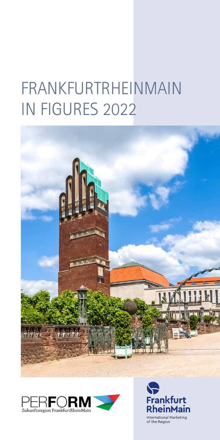# FRANKFURTRHEINMAIN IN FIGURES 2022





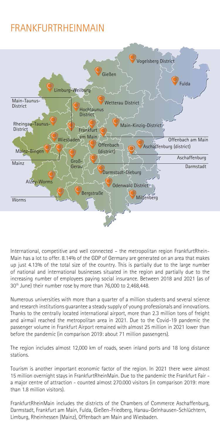#### FRANKFURTRHEINMAIN



International, competitive and well connected – the metropolitan region FrankfurtRhein-Main has a lot to offer. 8.14% of the GDP of Germany are generated on an area that makes up just 4.13% of the total size of the country. This is partially due to the large number of national and international businesses situated in the region and partially due to the increasing number of employees paying social insurance. Between 2018 and 2021 (as of 30<sup>th</sup> June) their number rose by more than 76,000 to 2,468,448.

Numerous universities with more than a quarter of a million students and several science and research institutions guarantee a steady supply of young professionals and innovations. Thanks to the centrally located international airport, more than 2.3 million tons of freight and airmail reached the metropolitan area in 2021. Due to the Covid-19 pandemic the passenger volume in Frankfurt Airport remained with almost 25 million in 2021 lower than before the pandemic (in comparison 2019: about 71 million passengers).

The region includes almost 12,000 km of roads, seven inland ports and 18 long distance stations.

Tourism is another important economic factor of the region. In 2021 there were almost 15 million overnight stays in FrankfurtRheinMain. Due to the pandemic the Frankfurt Fair a major centre of attraction - counted almost 270.000 visitors (in comparison 2019: more than 1.8 million visitors).

FrankfurtRheinMain includes the districts of the Chambers of Commerce Aschaffenburg, Darmstadt, Frankfurt am Main, Fulda, Gießen-Friedberg, Hanau-Gelnhausen-Schlüchtern, Limburg, Rheinhessen (Mainz), Offenbach am Main and Wiesbaden.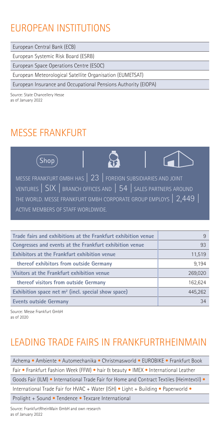### EUROPEAN INSTITUTIONS

European Central Bank (ECB)

European Systemic Risk Board (ESRB)

European Space Operations Centre (ESOC)

European Meteorological Satellite Organisation (EUMETSAT)

European Insurance and Occupational Pensions Authority (EIOPA)

Source: State Chancellery Hesse as of January 2022

#### MESSE FRANKFURT



| Trade fairs and exhibitions at the Frankfurt exhibition venue | 9       |
|---------------------------------------------------------------|---------|
| Congresses and events at the Frankfurt exhibition venue       | 93      |
| <b>Exhibitors at the Frankfurt exhibition venue</b>           | 11,519  |
| thereof exhibitors from outside Germany                       | 9.194   |
| Visitors at the Frankfurt exhibition venue                    | 269,020 |
| thereof visitors from outside Germany                         | 162,624 |
| Exhibition space net $m2$ (incl. special show space)          | 445,262 |
| <b>Events outside Germany</b>                                 | 34      |

Source: Messe Frankfurt GmbH as of 2020

### LEADING TRADE FAIRS IN FRANKFURTRHEINMAIN

Achema • Ambiente • Automechanika • Christmasworld • EUROBIKE • Frankfurt Book Fair • Frankfurt Fashion Week (FFW) • hair & beauty • IMEX • International Leather Goods Fair (ILM) • International Trade Fair for Home and Contract Textiles (Heimtextil) • International Trade Fair for HVAC + Water (ISH) • Light + Building • Paperworld • Prolight + Sound • Tendence • Texcare International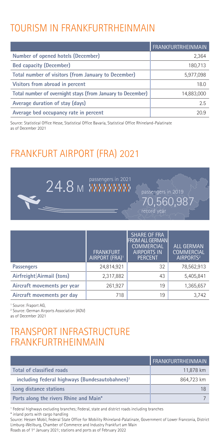### TOURISM IN FRANKFURTRHEINMAIN

|                                                            | <b>FRANKFURTRHEINMAIN</b> |
|------------------------------------------------------------|---------------------------|
| Number of opened hotels (December)                         | 2,364                     |
| <b>Bed capacity (December)</b>                             | 180,713                   |
| Total number of visitors (from January to December)        | 5,977,098                 |
| Visitors from abroad in percent                            | 18.0                      |
| Total number of overnight stays (from January to December) | 14,883,000                |
| Average duration of stay (days)                            | 2.5                       |
| Average bed occupancy rate in percent                      | 20.9                      |

Source: Statistical Office Hesse, Statistical Office Bavaria, Statistical Office Rhineland-Palatinate as of December 2021

### FRANKFURT AIRPORT (FRA) 2021



|                             | <b>FRANKFURT</b><br>AIRPORT (FRA) <sup>1</sup> | <b>SHARE OF FRA</b><br><b>FROM ALL GERMAN</b><br><b>COMMERCIAL</b><br><b>AIRPORTS IN</b><br><b>PERCENT</b> | <b>ALL GERMAN</b><br><b>COMMERCIAL</b><br>AIRPORTS <sup>2</sup> |
|-----------------------------|------------------------------------------------|------------------------------------------------------------------------------------------------------------|-----------------------------------------------------------------|
| <b>Passengers</b>           | 24,814,921                                     | 32                                                                                                         | 78,562,913                                                      |
| Airfreight Airmail (tons)   | 2,317,882                                      | 43                                                                                                         | 5,405,841                                                       |
| Aircraft movements per year | 261,927                                        | 19                                                                                                         | 1,365,657                                                       |
| Aircraft movements per day  | 718                                            | 19                                                                                                         | 3.742                                                           |

1 Source: Fraport AG,

2 Source: German Airports Association (ADV)

as of December 2021

#### TRANSPORT INFRASTRUCTURE FRANKFURTRHEINMAIN

|                                                            | FRANKFURTRHEINMAIN |
|------------------------------------------------------------|--------------------|
| Total of classified roads                                  | 11,878 km          |
| including federal highways (Bundesautobahnen) <sup>1</sup> | 864,723 km         |
| Long distance stations                                     | 18                 |
| Ports along the rivers Rhine and Main*                     |                    |

1 Federal highways excluding branches; Federal, state and district roads including branches \* inland ports with cargo handling

Source: Hessen Mobil, Federal State Office for Mobility Rhineland-Palatinate, Government of Lower Franconia, District Limburg-Weilburg, Chamber of Commerce and Industry Frankfurt am Main

Roads as of 1st January 2021; stations and ports as of February 2022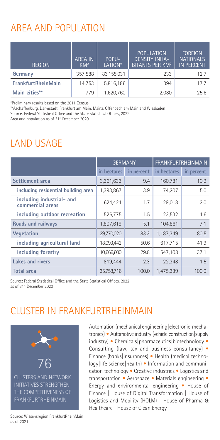### AREA AND POPULATION

| <b>REGION</b>      | POPU-<br><b>AREA IN</b><br>LATION*<br>$KM^2$ |            | <b>POPULATION</b><br><b>DENSITY INHA-</b><br><b>BITANTS PER KM<sup>2</sup></b> | <b>FOREIGN</b><br><b>NATIONALS</b><br><b>IN PERCENT</b> |  |
|--------------------|----------------------------------------------|------------|--------------------------------------------------------------------------------|---------------------------------------------------------|--|
| Germany            | 357,588                                      | 83,155,031 | 233                                                                            | 12.7                                                    |  |
| FrankfurtRheinMain | 14.753                                       | 5,816,186  | 394                                                                            | 17.7                                                    |  |
| Main cities**      | 779                                          | 1,620,760  | 2,080                                                                          | 25.6                                                    |  |

\*Preliminary results based on the 2011 Census

\*\*Aschaffenburg, Darmstadt, Frankfurt am Main, Mainz, Offenbach am Main and Wiesbaden

Source: Federal Statistical Office and the State Statistical Offices, 2022

Area and population as of 31<sup>st</sup> December 2020

### LAND USAGE

|                                               | <b>GERMANY</b> |            | <b>FRANKFURTRHEINMAIN</b> |            |  |
|-----------------------------------------------|----------------|------------|---------------------------|------------|--|
|                                               | in hectares    | in percent | in hectares               | in percent |  |
| Settlement area                               | 3,361,633      | 9.4        | 160,781                   | 10.9       |  |
| including residential building area           | 1,393,867      | 3.9        | 74,207                    | 5.0        |  |
| including industrial- and<br>commercial areas | 624,421        | 1.7        | 29,018                    | 2.0        |  |
| including outdoor recreation                  | 526,775        | 1.5        | 23,532                    | 1.6        |  |
| <b>Roads and railways</b>                     | 1,807,619      | 5.1        | 104,861                   | 7.1        |  |
| <b>Vegetation</b>                             | 29,770,020     | 83.3       | 1,187,349                 | 80.5       |  |
| including agricultural land                   | 18,093,442     | 50.6       | 617,715                   | 41.9       |  |
| including forestry                            | 10,666,600     | 29.8       | 547,108                   | 37.1       |  |
| <b>Lakes and rivers</b>                       | 819,444        | 2.3        | 22,348                    | 1.5        |  |
| <b>Total area</b>                             | 35.758.716     | 100.0      | 1,475,339                 | 100.0      |  |

Source: Federal Statistical Office and the State Statistical Offices, 2022 as of 31st December 2020

#### CLUSTER IN FRANKFURTRHEINMAIN



Automation (mechanical engineering|electronic|mechatronics) • Automotive industry (vehicle construction|supply industry) • Chemicals|pharmaceutics|biotechnology • Consulting (law, tax and business consultancy) • Finance (banks|insurances) • Health (medical technology|life science|health) • Information and communication technology • Creative industries • Logistics and transportation • Aerospace • Materials engineering • Energy and environmental engineering • House of Finance | House of Digital Transformation | House of Logistics and Mobility (HOLM) | House of Pharma & Healthcare | House of Clean Energy

Source: Wissensregion FrankfurtRheinMain as of 2021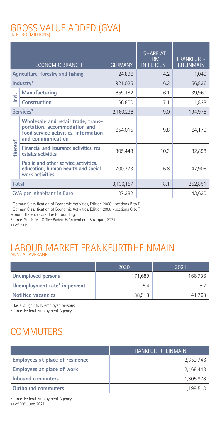## GROSS VALUE ADDED (GVA) IN EURO (MILLIONS)

|                       | <b>ECONOMIC BRANCH</b>                                                                                                          | <b>GERMANY</b> | <b>SHARE AT</b><br><b>FRM</b><br><b>IN PERCENT</b> | <b>FRANKFURT-</b><br><b>RHEINMAIN</b> |
|-----------------------|---------------------------------------------------------------------------------------------------------------------------------|----------------|----------------------------------------------------|---------------------------------------|
|                       | Agriculture, forestry and fishing                                                                                               | 24,896         | 4.2                                                | 1,040                                 |
|                       | Industry <sup>1</sup>                                                                                                           | 921,025        | 6.2                                                | 56,836                                |
|                       | Manufacturing                                                                                                                   | 659,182        | 6.1                                                | 39,960                                |
| ind.                  | <b>Construction</b>                                                                                                             | 166,800        | 7.1                                                | 11,828                                |
| Services <sup>2</sup> |                                                                                                                                 | 2,160,236      | 9.0                                                | 194,975                               |
|                       | Wholesale and retail trade, trans-<br>portation, accommodation and<br>food service activities, information<br>and communication | 654,015        | 9.8                                                | 64,170                                |
| thereof               | Financial and insurance activities, real<br>estates activities                                                                  | 805,448        | 10.3                                               | 82,898                                |
|                       | Public and other service activities,<br>education, human health and social<br>work activities                                   | 700,773        | 6.8                                                | 47,906                                |
| <b>Total</b>          |                                                                                                                                 | 3,106,157      | 8.1                                                | 252,851                               |
|                       | GVA per inhabitant in Euro                                                                                                      | 37,382         |                                                    | 43,630                                |

1 German Classification of Economic Activities, Edition 2008 - sections B to F

2 German Classification of Economic Activities, Edition 2008 - sections G to T

Minor differences are due to rounding. Source: Statistical Office Baden-Württemberg, Stuttgart, 2021 as of 2019

# LABOUR MARKET FRANKFURTRHEINMAIN ANNUAL AVERAGE

|                                           | 2020    | 2021    |
|-------------------------------------------|---------|---------|
| Unemployed persons                        | 171.689 | 166,736 |
| Unemployment rate <sup>1</sup> in percent | 5.4     |         |
| <b>Notified vacancies</b>                 | 38.913  | 41.768  |

1 Basis: all gainfully employed persons

Source: Federal Employment Agency

### **COMMUTERS**

|                                        | FRANKFURTRHEINMAIN |
|----------------------------------------|--------------------|
| <b>Employees at place of residence</b> | 2,359,746          |
| <b>Employees at place of work</b>      | 2,468,448          |
| Inhound commuters                      | 1,305,878          |
| <b>Outhound commuters</b>              | 1,199,513          |

Source: Federal Employment Agency as of 30th June 2021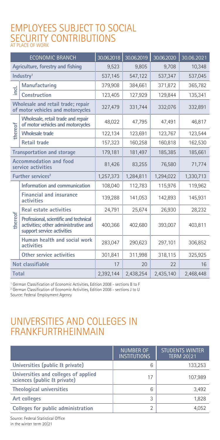### EMPLOYEES SUBJECT TO SOCIAL SECURITY CONTRIBUTIONS<br>AT PLACE OF WORK

| <b>ECONOMIC BRANCH</b>                              |                                                                                                              | 30.06.2018 | 30.06.2019 | 30.06.2020 | 30.06.2021 |
|-----------------------------------------------------|--------------------------------------------------------------------------------------------------------------|------------|------------|------------|------------|
| Agriculture, forestry and fishing                   |                                                                                                              | 9,523      | 9.805      | 9,708      | 10,348     |
|                                                     | Industry <sup>1</sup>                                                                                        | 537,145    | 547,122    | 537,347    | 537,045    |
|                                                     | Manufacturing                                                                                                | 379,908    | 384,661    | 371,872    | 365,782    |
| Teil                                                | Construction                                                                                                 | 123,405    | 127,929    | 129.844    | 135,341    |
|                                                     | Wholesale and retail trade; repair<br>of motor vehicles and motorcycles                                      | 327,479    | 331,744    | 332,076    | 332,891    |
|                                                     | Wholesale, retail trade and repair<br>of motor vehicles and motorcycles                                      | 48,022     | 47,795     | 47,491     | 46,817     |
| thereof                                             | <b>Wholesale trade</b>                                                                                       | 122,134    | 123,691    | 123,767    | 123,544    |
|                                                     | <b>Retail trade</b>                                                                                          | 157,323    | 160,258    | 160,818    | 162,530    |
| <b>Transportation and storage</b>                   |                                                                                                              | 179,181    | 181,497    | 185,385    | 185,661    |
| <b>Accommodation and food</b><br>service activities |                                                                                                              | 81,426     | 83,255     | 76,580     | 71,774     |
|                                                     | Further services <sup>2</sup>                                                                                | 1,257,373  | 1,284,811  | 1,294,022  | 1,330,713  |
|                                                     | Information and communication                                                                                | 108.040    | 112,783    | 115,976    | 119,962    |
|                                                     | <b>Financial and insurance</b><br>activities                                                                 | 139,288    | 141,053    | 142,893    | 145,931    |
|                                                     | <b>Real estate activities</b>                                                                                | 24,791     | 25,674     | 26,930     | 28,232     |
| thereof                                             | Professional, scientific and technical<br>activities; other administrative and<br>support service activities | 400,366    | 402,680    | 393,007    | 403,811    |
|                                                     | Human health and social work<br>activities                                                                   | 283,047    | 290,623    | 297,101    | 306,852    |
|                                                     | Other service activities                                                                                     | 301,841    | 311,998    | 318,115    | 325,925    |
|                                                     | Not classifiable                                                                                             | 17         | 20         | 22         | 16         |
| Total                                               |                                                                                                              | 2,392,144  | 2,438,254  | 2,435,140  | 2,468,448  |

<sup>1</sup> German Classification of Economic Activities, Edition 2008 - sections B to F

2 German Classification of Economic Activities, Edition 2008 - sections J to U Source: Federal Employment Agency

#### UNIVERSITIES AND COLLEGES IN FRANKFURTRHEINMAIN

|                                                                     | <b>NUMBER OF</b><br><b>INSTITUTIONS</b> | <b>STUDENTS WINTER</b><br><b>TERM 20 21</b> |
|---------------------------------------------------------------------|-----------------------------------------|---------------------------------------------|
| Universities (public & private)                                     | 6                                       | 133,253                                     |
| Universities and colleges of applied<br>sciences (public & private) | 17                                      | 107,989                                     |
| <b>Theological universities</b>                                     | 6                                       | 3,492                                       |
| Art colleges                                                        | 3                                       | 1,828                                       |
| Colleges for public administration                                  |                                         | 4.052                                       |

Source: Federal Statistical Office in the winter term 20|21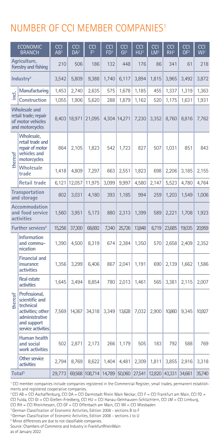#### NUMBER OF CCI MEMBER COMPANIES1

|                                                        | <b>ECONOMIC</b><br><b>BRANCH</b>                                                                                         | CCI<br>AB <sup>2</sup> | <b>CCI</b><br>$\overline{DA}^2$ | <b>CCI</b><br>F <sup>2</sup> | <b>CCI</b><br>FD <sup>2</sup> | <b>CCI</b><br>GI <sup>2</sup> | <b>CCI</b><br>HU <sup>2</sup> | <b>CCI</b><br>LM <sup>2</sup> | <b>CCI</b><br>$RH^2$ | <b>CCI</b><br>OF <sup>2</sup> | <b>CCI</b><br>$\overline{\mathsf{W}}$ <sup>2</sup> |
|--------------------------------------------------------|--------------------------------------------------------------------------------------------------------------------------|------------------------|---------------------------------|------------------------------|-------------------------------|-------------------------------|-------------------------------|-------------------------------|----------------------|-------------------------------|----------------------------------------------------|
|                                                        | Agriculture,<br>forestry and fishing                                                                                     | 210                    | 506                             | 186                          | 132                           | 448                           | 176                           | 86                            | 341                  | 61                            | 218                                                |
|                                                        | Industry <sup>3</sup>                                                                                                    | 3,542                  | 5,809                           | 9,388                        | 1,740                         | 6,117                         | 3,894                         | 1,815                         | 3,965                | 3,492                         | 3,872                                              |
|                                                        | Manufacturing                                                                                                            | 1,453                  | 2,740                           | 2,635                        | 575                           | 1,678                         | 1,185                         | 455                           | 1,337                | 1,319                         | 1,363                                              |
| e                                                      | <b>Construction</b>                                                                                                      | 1,055                  | 1,906                           | 5,620                        | 288                           | 1,879                         | 1,162                         | 520                           | 1,175                | 1,631                         | 1,931                                              |
|                                                        | <b>Wholesale and</b><br>retail trade; repair<br>of motor vehicles<br>and motorcycles                                     | 8,403                  | 18,971                          | 21,095                       |                               | 4,304 14,271                  | 7,230                         | 3,352                         | 8,760                | 8,816                         | 7,762                                              |
| thereof                                                | <b>Wholesale,</b><br>retail trade and<br>repair of motor<br>vehicles and<br>motorcycles                                  | 864                    | 2,105                           | 1,823                        | 542                           | 1,723                         | 827                           | 507                           | 1,031                | 851                           | 843                                                |
|                                                        | <b>Wholesale</b><br>trade                                                                                                | 1,418                  | 4,809                           | 7,297                        | 663                           | 2,551                         | 1,823                         | 698                           | 2,206                | 3,185                         | 2,155                                              |
|                                                        | <b>Retail trade</b>                                                                                                      | 6,121                  | 12,057                          | 11,975                       | 3,099                         | 9,997                         | 4,580                         | 2,147                         | 5,523                | 4,780                         | 4,764                                              |
| <b>Transportation</b><br>and storage                   |                                                                                                                          | 802                    | 3,031                           | 4,180                        | 393                           | 1,185                         | 994                           | 259                           | 1,203                | 1,549                         | 1,006                                              |
| <b>Accommodation</b><br>and food service<br>activities |                                                                                                                          | 1,560                  | 3,951                           | 5,173                        | 880                           | 2,313                         | 1,399                         | 589                           | 2,221                | 1,708                         | 1,923                                              |
|                                                        | <b>Further services<sup>4</sup></b>                                                                                      | 15,256                 | 37,300                          | 68,692                       | 7,340                         | 25,726                        | 13,848                        | 6,719                         | 23,685               | 19,035                        | 20,959                                             |
|                                                        | <b>Information</b><br>and commu-<br>nication                                                                             | 1,390                  | 4,500                           | 8,319                        | 674                           | 2,384                         | 1,350                         | 570                           | 2,658                | 2,409                         | 2,352                                              |
|                                                        | <b>Financial and</b><br>insurance<br>activities                                                                          | 1,356                  | 3,299                           | 6,406                        | 867                           | 2,041                         | 1,191                         | 690                           | 2,139                | 1,662                         | 1,586                                              |
|                                                        | <b>Real estate</b><br>activities                                                                                         | 1,645                  | 3,494                           | 8,854                        | 780                           | 2,013                         | 1,461                         | 565                           | 3,381                | 2,115                         | 2,007                                              |
| thereof                                                | Professional.<br>scientific and<br>technical<br>activities; other<br>administrative<br>and support<br>service activities | 7,569                  | 14,367                          | 34,318                       | 3,349                         | 13,628                        | 7,032                         | 2,900                         | 10,860               | 9,345                         | 10,927                                             |
|                                                        | Human health<br>and social<br>work activities                                                                            | 502                    | 2,871                           | 2,173                        | 266                           | 1,179                         | 505                           | 183                           | 792                  | 588                           | 769                                                |
|                                                        | <b>Other service</b><br>activities                                                                                       | 2,794                  | 8,769                           | 8,622                        | 1,404                         | 4,481                         | 2,309                         | 1,811                         | 3,855                | 2,916                         | 3,318                                              |
|                                                        | Total <sup>5</sup>                                                                                                       | 29,773                 |                                 | 69,568 108,714 14,789 50,060 |                               |                               | 27,541                        | 12,820 43,331                 |                      | 34,661                        | 35,740                                             |

1 CCI member companies include companies registered in the Commercial Register, small trades, permanent establishments and registered cooperative companies.

2 CCI AB = CCI Aschaffenburg, CCI DA = CCI Darmstadt Rhein Main Neckar, CCI F = CCI Frankfurt am Main, CCI FD = CCI Fulda, CCI GI = CCI Gießen-Friedberg, CCI HU = CCI Hanau-Gelnhausen-Schlüchtern, CCI LM = CCI Limburg,

CCI RH = CCI Rheinhessen, CCI OF = CCI Offenbach am Main, CCI WI = CCI Wiesbaden

<sup>3</sup> German Classification of Economic Activities, Edition 2008 - sections B to F

4 German Classification of Economic Activities, Edition 2008 - sections J to U

5 Minor differences are due to not classifiable companies.

Source: Chambers of Commerce and Industry in FrankfurtRheinMain as of January 2022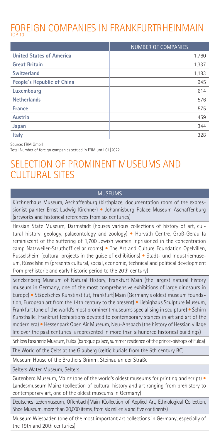#### FOREIGN COMPANIES IN FRANKFURTRHEINMAIN TOP 10

|                                 | <b>NUMBER OF COMPANIES</b> |
|---------------------------------|----------------------------|
| <b>United States of America</b> | 1,760                      |
| <b>Great Britain</b>            | 1,337                      |
| <b>Switzerland</b>              | 1,183                      |
| People's Republic of China      | 945                        |
| Luxembourg                      | 614                        |
| <b>Netherlands</b>              | 576                        |
| France                          | 575                        |
| Austria                         | 459                        |
| Japan                           | 344                        |
| <b>Italy</b>                    | 328                        |

Source: FRM GmbH

Total Number of foreign companies settled in FRM until 01|2022

#### SELECTION OF PROMINENT MUSEUMS AND CULTURAL SITES

#### MUSEUMS

Kirchnerhaus Museum, Aschaffenburg (birthplace, documentation room of the expressionist painter Ernst Ludwig Kirchner) • Johannisburg Palace Museum Aschaffenburg (artworks and historical references from six centuries)

Hessian State Museum, Darmstadt (houses various collections of history of art, cultural history, geology, palaeontology and zoology) • Horváth Centre, Groß-Gerau (a reminiscent of the suffering of 1,700 Jewish women inprisioned in the concentration camp Natzweiler-Struthoff cellar rooms) • The Art and Culture Foundation Opelvillen, Rüsselsheim (cultural projects in the guise of exhibitions) • Stadt- und Industriemuseum, Rüsselsheim (presents cultural, social, economic, technical and political development from prehistoric and early historic period to the 20th century)

Senckenberg Museum of Natural History, Frankfurt|Main (the largest natural history museum in Germany, one of the most comprehensive exhibitions of large dinosaurs in Europe) • Städelsches Kunstinstitut, Frankfurt|Main (Germany's oldest museum foundation, European art from the 14th century to the present) • Liebighaus Sculpture Museum, Frankfurt (one of the world's most prominent museums specialising in sculpture) • Schirn Kunsthalle, Frankfurt (exhibitions devoted to contemporary stances in art and art of the modern era) • Hessenpark Open Air Museum, Neu-Anspach (the history of Hessian village life over the past centuries is represented in more than a hundred historical buildings)

Schloss Fasanerie Museum, Fulda (baroque palace, summer residence of the prince-bishops of Fulda)

The World of the Celts at the Glauberg (celtic burials from the 5th century BC)

Museum House of the Brothers Grimm, Steinau an der Straße

Selters Water Museum, Selters

Gutenberg Museum, Mainz (one of the world's oldest museums for printing and script) • Landesmuseum Mainz (collection of cultural history and art ranging from prehistory to contemporary art, one of the oldest museums in Germany)

Deutsches Ledermuseum, Offenbach|Main (Collection of Applied Art, Ethnological Collection, Shoe Museum, more than 30,000 items, from six millenia and five continents)

Museum Wiesbaden (one of the most important art collections in Germany, especially of the 19th and 20th centuries)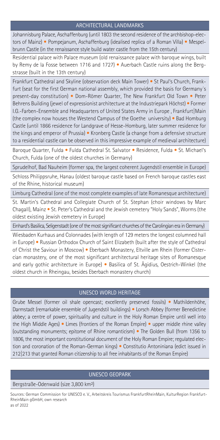#### ARCHITECTURAL LANDMARKS

Johannisburg Palace, Aschaffenburg (until 1803 the second residence of the archbishop-electors of Mainz) • Pompejanum, Aschaffenburg (idealised replica of a Roman Villa) • Mespelbrunn Castle (in the renaissance style build water castle from the 15th century)

Residential palace with Palace museum (old renaissance palace with baroque wings, built by Remy de la Fosse between 1716 and 1727) • Auerbach Castle ruins along the Bergstrasse (built in the 13th century)

Frankfurt Cathedral and Skyline (observation deck Main Tower) • St Paul's Church, Frankfurt (seat for the first German national assembly, which provided the basis for Germany´s present-day constitution) • Dom-Römer Quarter, The New Frankfurt Old Town • Peter Behrens Building (jewel of expressionist architecture at the Industriepark Höchst) • Former I.G.-Farben-Ensemble and Headquarters of United States Army in Europe , Frankfurt|Main (the complex now houses the Westend Campus of the Goethe university) • Bad Homburg Castle (until 1866 residence for Landgrave of Hesse-Homburg, later summer residence for the kings and emperor of Prussia) • Kronberg Castle (a change from a defensive structure to a residential castle can be observed in this impressive example of medieval architecture)

Baroque Quarter, Fulda • Fulda Cathedral St. Salvator • Residence, Fulda • St. Michael's Church, Fulda (one of the oldest churches in Germany)

Sprudelhof, Bad Nauheim (former spa, the largest coherent Jugendstil ensemble in Europe)

Schloss Philippsruhe, Hanau (oldest baroque castle based on French baroque castles east of the Rhine, historical museum)

Limburg Cathedral (one of the most complete examples of late Romanesque architecture)

St. Martin's Cathedral and Collegiate Church of St. Stephan (choir windows by Marc Chagall), Mainz • St. Peter's Cathedral and the Jewish cemetery "Holy Sands", Worms (the oldest existing Jewish cemetery in Europe)

Einhard's Basilica, Seligenstadt (one of the most significant churches of the Carolingian era in Germany)

Wiesbaden Kurhaus and Colonnades (with length of 129 meters the longest columned hall in Europe) • Russian Orthodox Church of Saint Elizabeth (built after the style of Cathedral of Christ the Saviour in Moscow) • Eberbach Monastery, Eltville am Rhein (former Cistercian monastery, one of the most significant architectural heritage sites of Romanesque and early gothic architecture in Europe) • Basilica of St. Ägidius, Oestrich-Winkel (the oldest church in Rheingau, besides Eberbach monastery church)

#### UNESCO WORLD HERITAGE

Grube Messel (former oil shale opencast; excellently preserved fossils) • Mathildenhöhe, Darmstadt (remarkable ensemble of Jugendstil buildings) • Lorsch Abbey (former Benedictine abbey; a centre of power, spirituality and culture in the Holy Roman Empire until well into the High Middle Ages) • Limes (frontiers of the Roman Empire) • upper middle rhine valley (outstanding monuments; epitome of Rhine romanticism) • The Golden Bull (from 1356 to 1806, the most important constitutional document of the Holy Roman Empire; regulated election and coronation of the Roman-German kings) • Constitutio Antoniniana (edict issued in 212|213 that granted Roman citizenship to all free inhabitants of the Roman Empire)

#### UNESCO GEOPARK

#### Bergstraße-Odenwald (size 3,800 km²)

Sources: German Commission for UNESCO e. V., Arbeitskreis Tourismus FrankfurtRheinMain, KulturRegion Frankfurt-RheinMain gGmbH, own research as of 2022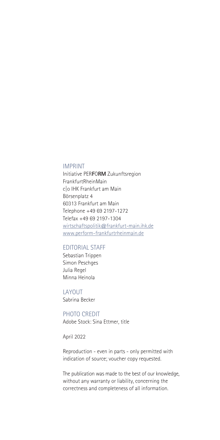#### IMPRINT

Initiative PER**F**O**RM** Zukunftsregion FrankfurtRheinMain c|o IHK Frankfurt am Main Börsenplatz 4 60313 Frankfurt am Main Telephone +49 69 2197-1272 Telefax +49 69 2197-1304 wirtschaftspolitik@frankfurt-main.ihk.de www.perform-frankfurtrheinmain.de

#### EDITORIAL STAFF

Sebastian Trippen Simon Peschges Julia Regel Minna Heinola

LAYOUT Sabrina Becker

PHOTO CREDIT Adobe Stock: Sina Ettmer, title

April 2022

Reproduction - even in parts - only permitted with indication of source; voucher copy requested.

The publication was made to the best of our knowledge, without any warranty or liability, concerning the correctness and completeness of all information.